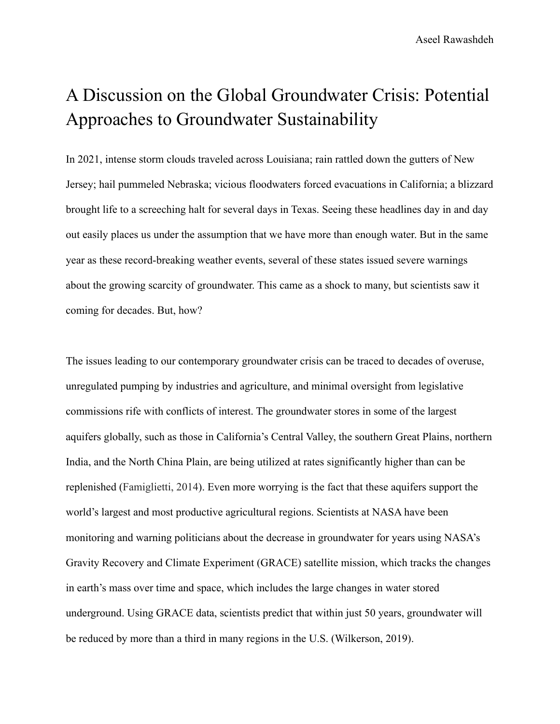Aseel Rawashdeh

## A Discussion on the Global Groundwater Crisis: Potential Approaches to Groundwater Sustainability

In 2021, intense storm clouds traveled across Louisiana; rain rattled down the gutters of New Jersey; hail pummeled Nebraska; vicious floodwaters forced evacuations in California; a blizzard brought life to a screeching halt for several days in Texas. Seeing these headlines day in and day out easily places us under the assumption that we have more than enough water. But in the same year as these record-breaking weather events, several of these states issued severe warnings about the growing scarcity of groundwater. This came as a shock to many, but scientists saw it coming for decades. But, how?

The issues leading to our contemporary groundwater crisis can be traced to decades of overuse, unregulated pumping by industries and agriculture, and minimal oversight from legislative commissions rife with conflicts of interest. The groundwater stores in some of the largest aquifers globally, such as those in California's Central Valley, the southern Great Plains, northern India, and the North China Plain, are being utilized at rates significantly higher than can be replenished (Famiglietti, 2014). Even more worrying is the fact that these aquifers support the world's largest and most productive agricultural regions. Scientists at NASA have been monitoring and warning politicians about the decrease in groundwater for years using NASA's Gravity Recovery and Climate Experiment (GRACE) satellite mission, which tracks the changes in earth's mass over time and space, which includes the large changes in water stored underground. Using GRACE data, scientists predict that within just 50 years, groundwater will be reduced by more than a third in many regions in the U.S. (Wilkerson, 2019).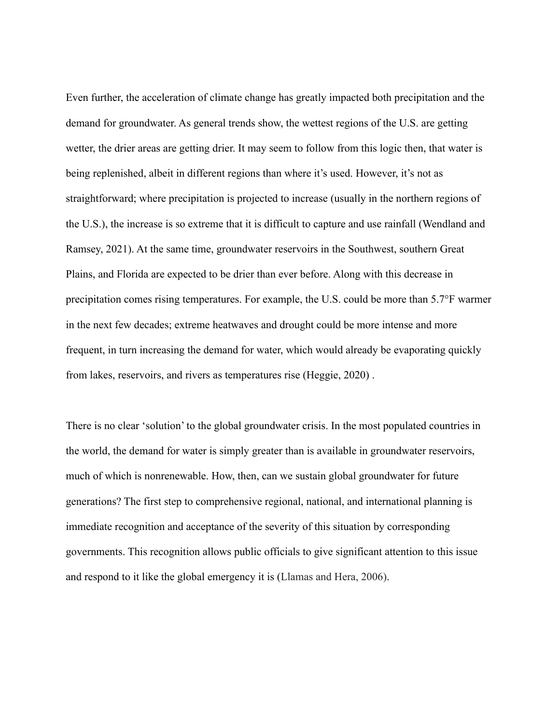Even further, the acceleration of climate change has greatly impacted both precipitation and the demand for groundwater. As general trends show, the wettest regions of the U.S. are getting wetter, the drier areas are getting drier. It may seem to follow from this logic then, that water is being replenished, albeit in different regions than where it's used. However, it's not as straightforward; where precipitation is projected to increase (usually in the northern regions of the U.S.), the increase is so extreme that it is difficult to capture and use rainfall (Wendland and Ramsey, 2021). At the same time, groundwater reservoirs in the Southwest, southern Great Plains, and Florida are expected to be drier than ever before. Along with this decrease in precipitation comes rising temperatures. For example, the U.S. could be more than 5.7°F warmer in the next few decades; extreme heatwaves and drought could be more intense and more frequent, in turn increasing the demand for water, which would already be evaporating quickly from lakes, reservoirs, and rivers as temperatures rise (Heggie, 2020) .

There is no clear 'solution' to the global groundwater crisis. In the most populated countries in the world, the demand for water is simply greater than is available in groundwater reservoirs, much of which is nonrenewable. How, then, can we sustain global groundwater for future generations? The first step to comprehensive regional, national, and international planning is immediate recognition and acceptance of the severity of this situation by corresponding governments. This recognition allows public officials to give significant attention to this issue and respond to it like the global emergency it is (Llamas and Hera, 2006).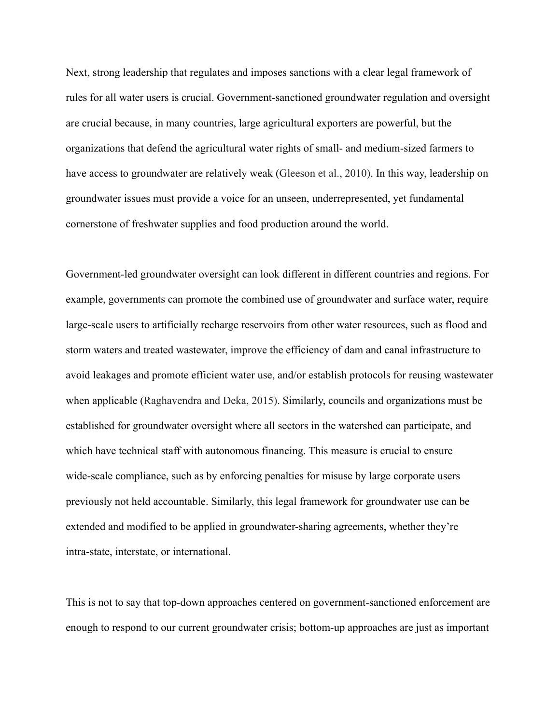Next, strong leadership that regulates and imposes sanctions with a clear legal framework of rules for all water users is crucial. Government-sanctioned groundwater regulation and oversight are crucial because, in many countries, large agricultural exporters are powerful, but the organizations that defend the agricultural water rights of small- and medium-sized farmers to have access to groundwater are relatively weak (Gleeson et al., 2010). In this way, leadership on groundwater issues must provide a voice for an unseen, underrepresented, yet fundamental cornerstone of freshwater supplies and food production around the world.

Government-led groundwater oversight can look different in different countries and regions. For example, governments can promote the combined use of groundwater and surface water, require large-scale users to artificially recharge reservoirs from other water resources, such as flood and storm waters and treated wastewater, improve the efficiency of dam and canal infrastructure to avoid leakages and promote efficient water use, and/or establish protocols for reusing wastewater when applicable (Raghavendra and Deka, 2015). Similarly, councils and organizations must be established for groundwater oversight where all sectors in the watershed can participate, and which have technical staff with autonomous financing. This measure is crucial to ensure wide-scale compliance, such as by enforcing penalties for misuse by large corporate users previously not held accountable. Similarly, this legal framework for groundwater use can be extended and modified to be applied in groundwater-sharing agreements, whether they're intra-state, interstate, or international.

This is not to say that top-down approaches centered on government-sanctioned enforcement are enough to respond to our current groundwater crisis; bottom-up approaches are just as important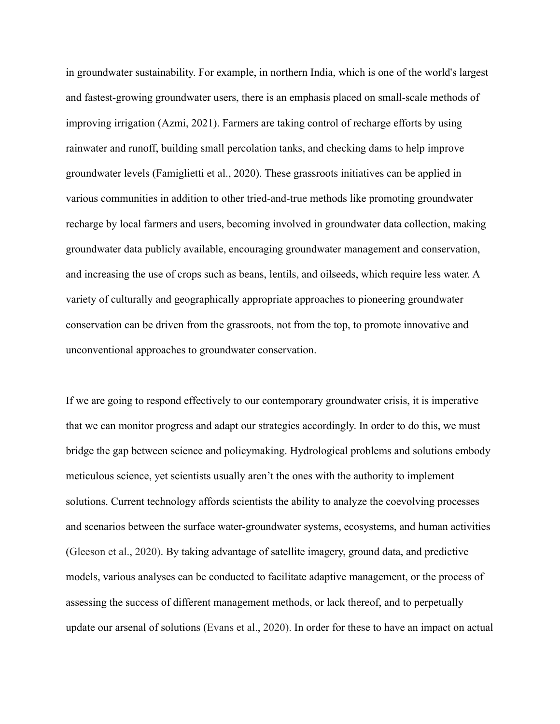in groundwater sustainability. For example, in northern India, which is one of the world's largest and fastest-growing groundwater users, there is an emphasis placed on small-scale methods of improving irrigation (Azmi, 2021). Farmers are taking control of recharge efforts by using rainwater and runoff, building small percolation tanks, and checking dams to help improve groundwater levels (Famiglietti et al., 2020). These grassroots initiatives can be applied in various communities in addition to other tried-and-true methods like promoting groundwater recharge by local farmers and users, becoming involved in groundwater data collection, making groundwater data publicly available, encouraging groundwater management and conservation, and increasing the use of crops such as beans, lentils, and oilseeds, which require less water. A variety of culturally and geographically appropriate approaches to pioneering groundwater conservation can be driven from the grassroots, not from the top, to promote innovative and unconventional approaches to groundwater conservation.

If we are going to respond effectively to our contemporary groundwater crisis, it is imperative that we can monitor progress and adapt our strategies accordingly. In order to do this, we must bridge the gap between science and policymaking. Hydrological problems and solutions embody meticulous science, yet scientists usually aren't the ones with the authority to implement solutions. Current technology affords scientists the ability to analyze the coevolving processes and scenarios between the surface water-groundwater systems, ecosystems, and human activities (Gleeson et al., 2020). By taking advantage of satellite imagery, ground data, and predictive models, various analyses can be conducted to facilitate adaptive management, or the process of assessing the success of different management methods, or lack thereof, and to perpetually update our arsenal of solutions (Evans et al., 2020). In order for these to have an impact on actual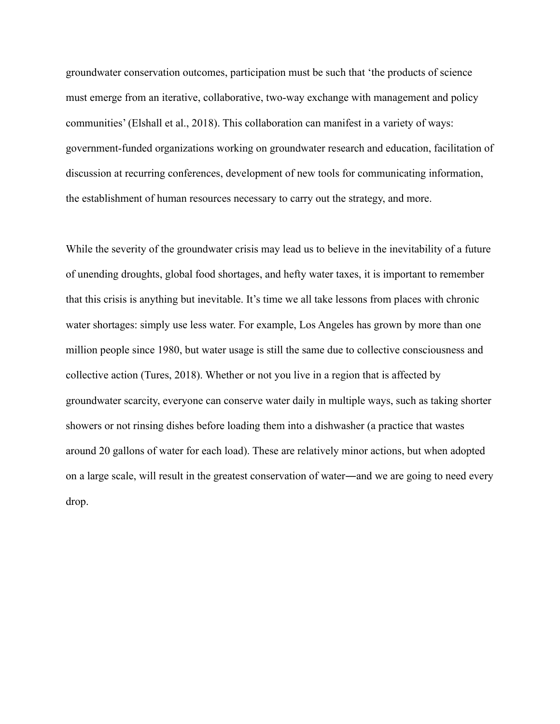groundwater conservation outcomes, participation must be such that 'the products of science must emerge from an iterative, collaborative, two-way exchange with management and policy communities' (Elshall et al., 2018). This collaboration can manifest in a variety of ways: government-funded organizations working on groundwater research and education, facilitation of discussion at recurring conferences, development of new tools for communicating information, the establishment of human resources necessary to carry out the strategy, and more.

While the severity of the groundwater crisis may lead us to believe in the inevitability of a future of unending droughts, global food shortages, and hefty water taxes, it is important to remember that this crisis is anything but inevitable. It's time we all take lessons from places with chronic water shortages: simply use less water. For example, Los Angeles has grown by more than one million people since 1980, but water usage is still the same due to collective consciousness and collective action (Tures, 2018). Whether or not you live in a region that is affected by groundwater scarcity, everyone can conserve water daily in multiple ways, such as taking shorter showers or not rinsing dishes before loading them into a dishwasher (a practice that wastes around 20 gallons of water for each load). These are relatively minor actions, but when adopted on a large scale, will result in the greatest conservation of water―and we are going to need every drop.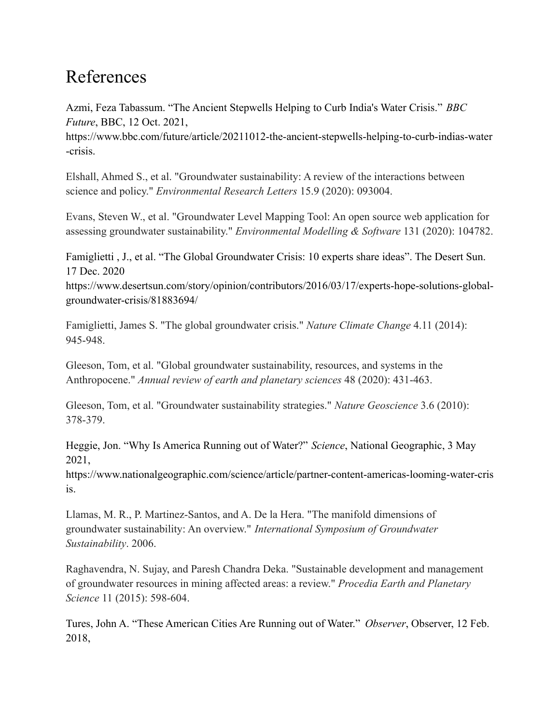## References

Azmi, Feza Tabassum. "The Ancient Stepwells Helping to Curb India's Water Crisis." *BBC Future*, BBC, 12 Oct. 2021,

https://www.bbc.com/future/article/20211012-the-ancient-stepwells-helping-to-curb-indias-water -crisis.

Elshall, Ahmed S., et al. "Groundwater sustainability: A review of the interactions between science and policy." *Environmental Research Letters* 15.9 (2020): 093004.

Evans, Steven W., et al. "Groundwater Level Mapping Tool: An open source web application for assessing groundwater sustainability." *Environmental Modelling & Software* 131 (2020): 104782.

Famiglietti , J., et al. "The Global Groundwater Crisis: 10 experts share ideas". The Desert Sun. 17 Dec. 2020

https://www.desertsun.com/story/opinion/contributors/2016/03/17/experts-hope-solutions-globalgroundwater-crisis/81883694/

Famiglietti, James S. "The global groundwater crisis." *Nature Climate Change* 4.11 (2014): 945-948.

Gleeson, Tom, et al. "Global groundwater sustainability, resources, and systems in the Anthropocene." *Annual review of earth and planetary sciences* 48 (2020): 431-463.

Gleeson, Tom, et al. "Groundwater sustainability strategies." *Nature Geoscience* 3.6 (2010): 378-379.

Heggie, Jon. "Why Is America Running out of Water?" *Science*, National Geographic, 3 May 2021,

https://www.nationalgeographic.com/science/article/partner-content-americas-looming-water-cris is.

Llamas, M. R., P. Martinez-Santos, and A. De la Hera. "The manifold dimensions of groundwater sustainability: An overview." *International Symposium of Groundwater Sustainability*. 2006.

Raghavendra, N. Sujay, and Paresh Chandra Deka. "Sustainable development and management of groundwater resources in mining affected areas: a review." *Procedia Earth and Planetary Science* 11 (2015): 598-604.

Tures, John A. "These American Cities Are Running out of Water." *Observer*, Observer, 12 Feb. 2018,